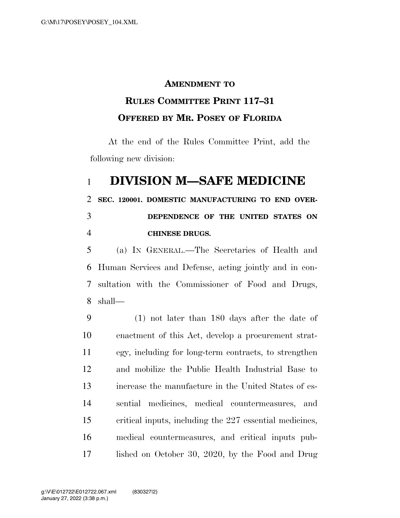## **AMENDMENT TO**

## **RULES COMMITTEE PRINT 117–31 OFFERED BY MR. POSEY OF FLORIDA**

At the end of the Rules Committee Print, add the following new division:

## **DIVISION M—SAFE MEDICINE**

**SEC. 120001. DOMESTIC MANUFACTURING TO END OVER-**

## **DEPENDENCE OF THE UNITED STATES ON CHINESE DRUGS.**

 (a) IN GENERAL.—The Secretaries of Health and Human Services and Defense, acting jointly and in con- sultation with the Commissioner of Food and Drugs, shall—

 (1) not later than 180 days after the date of enactment of this Act, develop a procurement strat- egy, including for long-term contracts, to strengthen and mobilize the Public Health Industrial Base to increase the manufacture in the United States of es- sential medicines, medical countermeasures, and critical inputs, including the 227 essential medicines, medical countermeasures, and critical inputs pub-lished on October 30, 2020, by the Food and Drug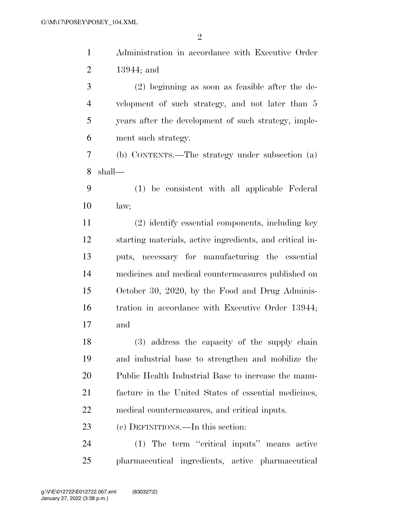Administration in accordance with Executive Order 13944; and (2) beginning as soon as feasible after the de-

 velopment of such strategy, and not later than 5 years after the development of such strategy, imple-ment such strategy.

 (b) CONTENTS.—The strategy under subsection (a) shall—

 (1) be consistent with all applicable Federal law;

 (2) identify essential components, including key starting materials, active ingredients, and critical in- puts, necessary for manufacturing the essential medicines and medical countermeasures published on October 30, 2020, by the Food and Drug Adminis- tration in accordance with Executive Order 13944; and

 (3) address the capacity of the supply chain and industrial base to strengthen and mobilize the Public Health Industrial Base to increase the manu- facture in the United States of essential medicines, medical countermeasures, and critical inputs.

(c) DEFINITIONS.—In this section:

 (1) The term ''critical inputs'' means active pharmaceutical ingredients, active pharmaceutical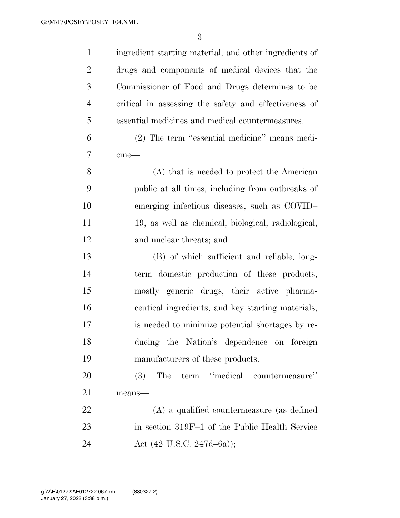| $\mathbf{1}$   | ingredient starting material, and other ingredients of |
|----------------|--------------------------------------------------------|
| $\overline{2}$ | drugs and components of medical devices that the       |
| 3              | Commissioner of Food and Drugs determines to be        |
| $\overline{4}$ | critical in assessing the safety and effectiveness of  |
| 5              | essential medicines and medical countermeasures.       |
| 6              | (2) The term "essential medicine" means medi-          |
| 7              | cine                                                   |
| 8              | (A) that is needed to protect the American             |
| 9              | public at all times, including from outbreaks of       |
| 10             | emerging infectious diseases, such as COVID-           |
| 11             | 19, as well as chemical, biological, radiological,     |
| 12             | and nuclear threats; and                               |
| 13             | (B) of which sufficient and reliable, long-            |
| 14             | term domestic production of these products,            |
| 15             | mostly generic drugs, their active pharma-             |
| 16             | ceutical ingredients, and key starting materials,      |
| 17             | is needed to minimize potential shortages by re-       |
| 18             | ducing the Nation's dependence on foreign              |
| 19             | manufacturers of these products.                       |
| 20             | term "medical countermeasure"<br>(3)<br>The            |
| 21             | means-                                                 |
| 22             | $(A)$ a qualified countermeasure (as defined           |
| 23             | in section 319F-1 of the Public Health Service         |
| 24             | Act $(42 \text{ U.S.C. } 247d - 6a)$ ;                 |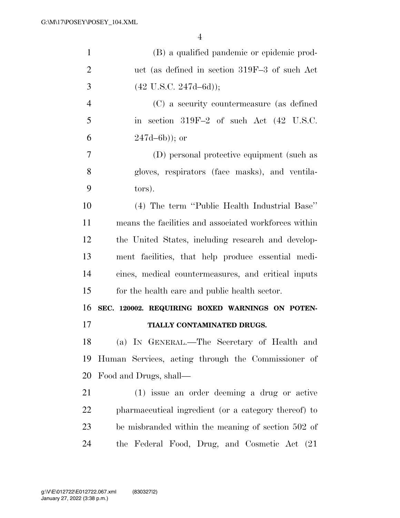| $\mathbf{1}$   | (B) a qualified pandemic or epidemic prod-            |
|----------------|-------------------------------------------------------|
| $\overline{2}$ | uct (as defined in section 319F-3 of such Act         |
| 3              | $(42 \text{ U.S.C. } 247d - 6d));$                    |
| $\overline{4}$ | (C) a security countermeasure (as defined             |
| 5              | in section 319F-2 of such Act (42 U.S.C.              |
| 6              | $247d - 6b)$ ; or                                     |
| 7              | (D) personal protective equipment (such as            |
| 8              | gloves, respirators (face masks), and ventila-        |
| 9              | tors).                                                |
| 10             | (4) The term "Public Health Industrial Base"          |
| 11             | means the facilities and associated workforces within |
| 12             | the United States, including research and develop-    |
| 13             | ment facilities, that help produce essential medi-    |
| 14             | cines, medical countermeasures, and critical inputs   |
| 15             | for the health care and public health sector.         |
| 16             | SEC. 120002. REQUIRING BOXED WARNINGS ON POTEN-       |
| 17             | TIALLY CONTAMINATED DRUGS.                            |
| 18             | (a) IN GENERAL.—The Secretary of Health and           |
| 19             | Human Services, acting through the Commissioner of    |
| 20             | Food and Drugs, shall—                                |
| 21             | (1) issue an order deeming a drug or active           |
| <u>22</u>      | pharmaceutical ingredient (or a category thereof) to  |
| 23             | be misbranded within the meaning of section 502 of    |
| 24             | the Federal Food, Drug, and Cosmetic Act (21)         |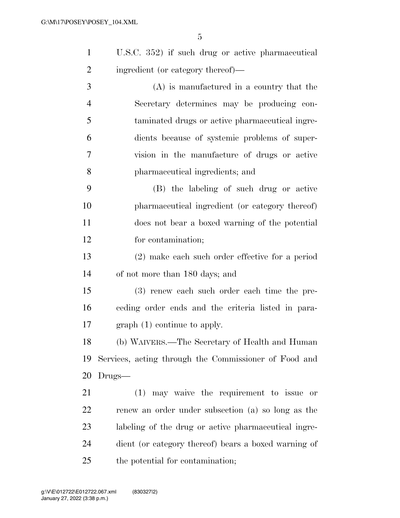|   | U.S.C. 352) if such drug or active pharmaceutical |
|---|---------------------------------------------------|
| 2 | ingredient (or category thereof)—                 |

 (A) is manufactured in a country that the Secretary determines may be producing con- taminated drugs or active pharmaceutical ingre- dients because of systemic problems of super- vision in the manufacture of drugs or active pharmaceutical ingredients; and

 (B) the labeling of such drug or active pharmaceutical ingredient (or category thereof) does not bear a boxed warning of the potential for contamination;

 (2) make each such order effective for a period of not more than 180 days; and

 (3) renew each such order each time the pre- ceding order ends and the criteria listed in para-graph (1) continue to apply.

 (b) WAIVERS.—The Secretary of Health and Human Services, acting through the Commissioner of Food and Drugs—

 (1) may waive the requirement to issue or renew an order under subsection (a) so long as the labeling of the drug or active pharmaceutical ingre- dient (or category thereof) bears a boxed warning of the potential for contamination;